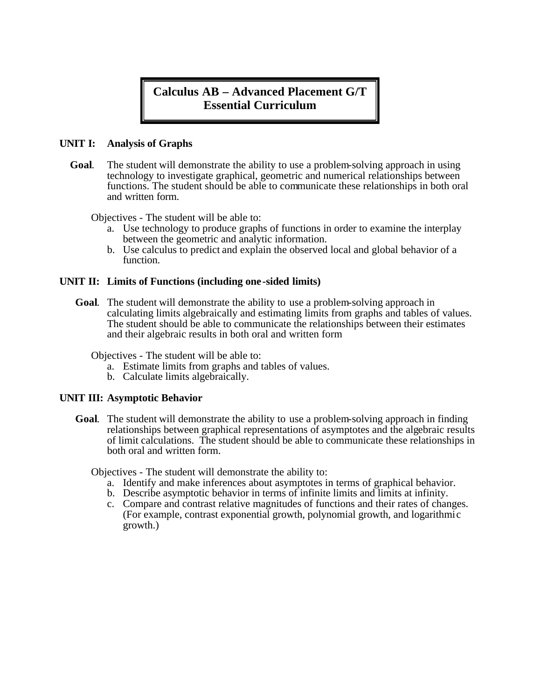# **Calculus AB – Advanced Placement G/T Essential Curriculum**

## **UNIT I: Analysis of Graphs**

 **Goal**. The student will demonstrate the ability to use a problem-solving approach in using technology to investigate graphical, geometric and numerical relationships between functions. The student should be able to communicate these relationships in both oral and written form.

Objectives - The student will be able to:

- a. Use technology to produce graphs of functions in order to examine the interplay between the geometric and analytic information.
- b. Use calculus to predict and explain the observed local and global behavior of a function.

#### **UNIT II: Limits of Functions (including one-sided limits)**

**Goal**. The student will demonstrate the ability to use a problem-solving approach in calculating limits algebraically and estimating limits from graphs and tables of values. The student should be able to communicate the relationships between their estimates and their algebraic results in both oral and written form

Objectives - The student will be able to:

- a. Estimate limits from graphs and tables of values.
- b. Calculate limits algebraically.

#### **UNIT III: Asymptotic Behavior**

**Goal**. The student will demonstrate the ability to use a problem-solving approach in finding relationships between graphical representations of asymptotes and the algebraic results of limit calculations. The student should be able to communicate these relationships in both oral and written form.

Objectives - The student will demonstrate the ability to:

- a. Identify and make inferences about asymptotes in terms of graphical behavior.
- b. Describe asymptotic behavior in terms of infinite limits and limits at infinity.
- c. Compare and contrast relative magnitudes of functions and their rates of changes. (For example, contrast exponential growth, polynomial growth, and logarithmic growth.)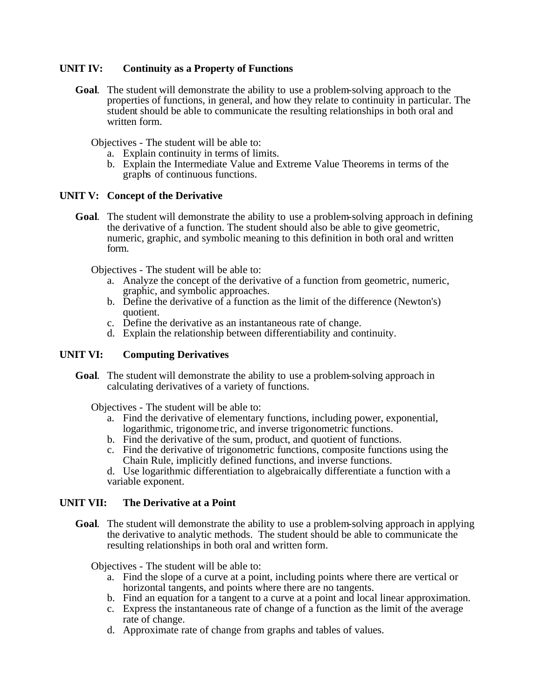# **UNIT IV: Continuity as a Property of Functions**

**Goal**. The student will demonstrate the ability to use a problem-solving approach to the properties of functions, in general, and how they relate to continuity in particular. The student should be able to communicate the resulting relationships in both oral and written form.

Objectives - The student will be able to:

- a. Explain continuity in terms of limits.
- b. Explain the Intermediate Value and Extreme Value Theorems in terms of the graphs of continuous functions.

## **UNIT V: Concept of the Derivative**

**Goal**. The student will demonstrate the ability to use a problem-solving approach in defining the derivative of a function. The student should also be able to give geometric, numeric, graphic, and symbolic meaning to this definition in both oral and written form.

Objectives - The student will be able to:

- a. Analyze the concept of the derivative of a function from geometric, numeric, graphic, and symbolic approaches.
- b. Define the derivative of a function as the limit of the difference (Newton's) quotient.
- c. Define the derivative as an instantaneous rate of change.
- d. Explain the relationship between differentiability and continuity.

## **UNIT VI: Computing Derivatives**

**Goal**. The student will demonstrate the ability to use a problem-solving approach in calculating derivatives of a variety of functions.

Objectives - The student will be able to:

- a. Find the derivative of elementary functions, including power, exponential, logarithmic, trigonome tric, and inverse trigonometric functions.
- b. Find the derivative of the sum, product, and quotient of functions.
- c. Find the derivative of trigonometric functions, composite functions using the Chain Rule, implicitly defined functions, and inverse functions.
- d. Use logarithmic differentiation to algebraically differentiate a function with a variable exponent.

## **UNIT VII: The Derivative at a Point**

**Goal**. The student will demonstrate the ability to use a problem-solving approach in applying the derivative to analytic methods. The student should be able to communicate the resulting relationships in both oral and written form.

Objectives - The student will be able to:

- a. Find the slope of a curve at a point, including points where there are vertical or horizontal tangents, and points where there are no tangents.
- b. Find an equation for a tangent to a curve at a point and local linear approximation.
- c. Express the instantaneous rate of change of a function as the limit of the average rate of change.
- d. Approximate rate of change from graphs and tables of values.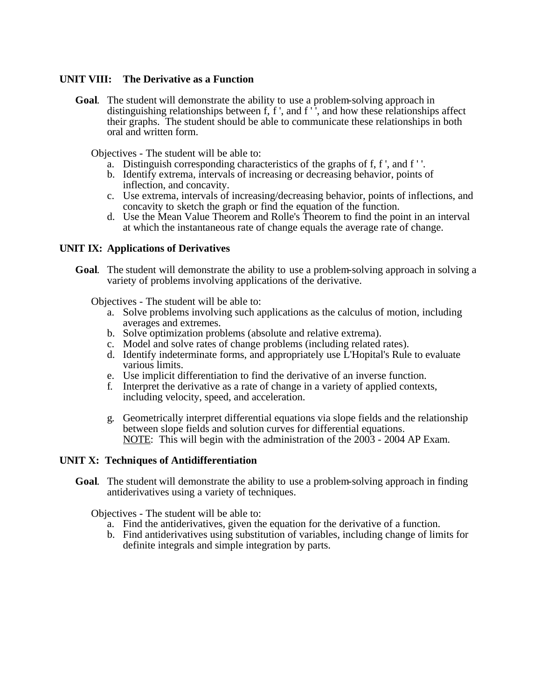#### **UNIT VIII: The Derivative as a Function**

**Goal**. The student will demonstrate the ability to use a problem-solving approach in distinguishing relationships between f, f', and f'', and how these relationships affect their graphs. The student should be able to communicate these relationships in both oral and written form.

Objectives - The student will be able to:

- a. Distinguish corresponding characteristics of the graphs of f, f ', and f ' '.
- b. Identify extrema, intervals of increasing or decreasing behavior, points of inflection, and concavity.
- c. Use extrema, intervals of increasing/decreasing behavior, points of inflections, and concavity to sketch the graph or find the equation of the function.
- d. Use the Mean Value Theorem and Rolle's Theorem to find the point in an interval at which the instantaneous rate of change equals the average rate of change.

#### **UNIT IX: Applications of Derivatives**

**Goal**. The student will demonstrate the ability to use a problem-solving approach in solving a variety of problems involving applications of the derivative.

Objectives - The student will be able to:

- a. Solve problems involving such applications as the calculus of motion, including averages and extremes.
- b. Solve optimization problems (absolute and relative extrema).
- c. Model and solve rates of change problems (including related rates).
- d. Identify indeterminate forms, and appropriately use L'Hopital's Rule to evaluate various limits.
- e. Use implicit differentiation to find the derivative of an inverse function.
- f. Interpret the derivative as a rate of change in a variety of applied contexts, including velocity, speed, and acceleration.
- g. Geometrically interpret differential equations via slope fields and the relationship between slope fields and solution curves for differential equations. NOTE: This will begin with the administration of the 2003 - 2004 AP Exam.

#### **UNIT X: Techniques of Antidifferentiation**

**Goal**. The student will demonstrate the ability to use a problem-solving approach in finding antiderivatives using a variety of techniques.

Objectives - The student will be able to:

- a. Find the antiderivatives, given the equation for the derivative of a function.
- b. Find antiderivatives using substitution of variables, including change of limits for definite integrals and simple integration by parts.